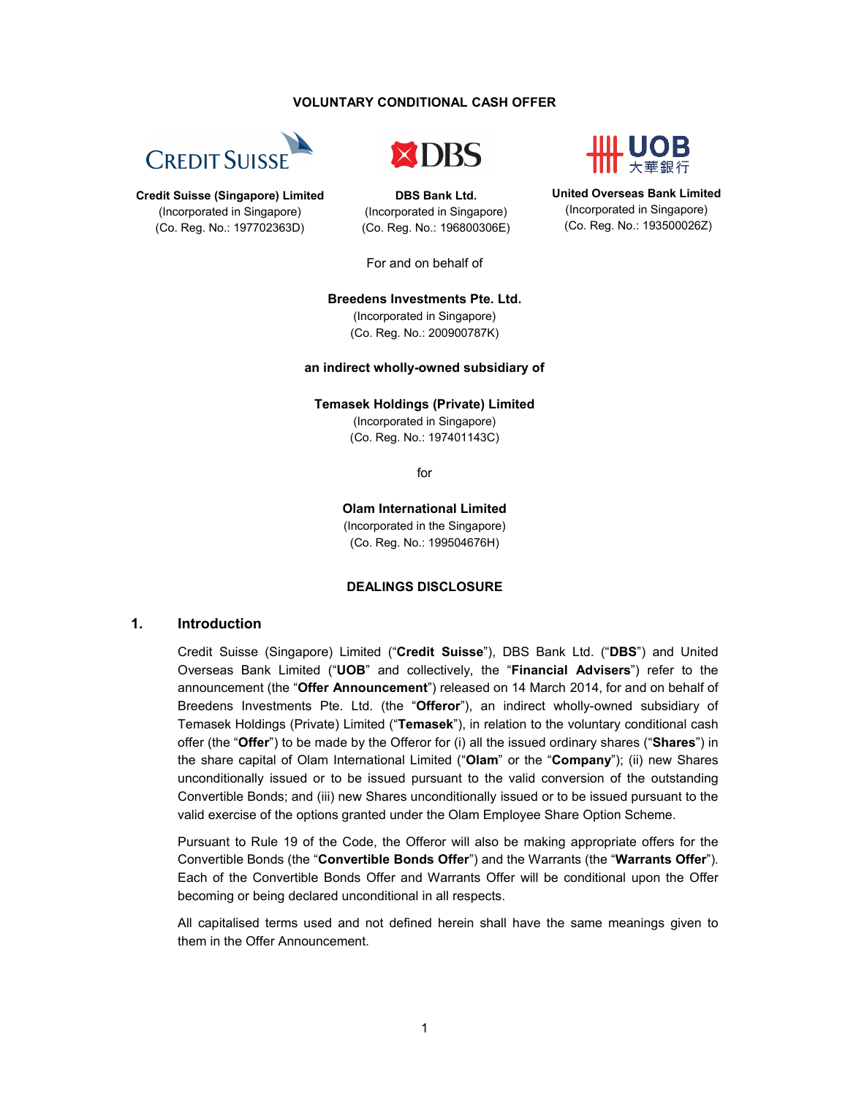#### **VOLUNTARY CONDITIONAL CASH OFFER**





**DBS Bank Ltd.** (Incorporated in Singapore) (Co. Reg. No.: 196800306E)



**United Overseas Bank Limited** (Incorporated in Singapore) (Co. Reg. No.: 193500026Z)

**Credit Suisse (Singapore) Limited** (Incorporated in Singapore) (Co. Reg. No.: 197702363D)

For and on behalf of

## **Breedens Investments Pte. Ltd.**

(Incorporated in Singapore) (Co. Reg. No.: 200900787K)

#### **an indirect wholly-owned subsidiary of**

**Temasek Holdings (Private) Limited**

(Incorporated in Singapore) (Co. Reg. No.: 197401143C)

for

**Olam International Limited** (Incorporated in the Singapore)

(Co. Reg. No.: 199504676H)

### **DEALINGS DISCLOSURE**

### **1. Introduction**

Credit Suisse (Singapore) Limited ("**Credit Suisse**"), DBS Bank Ltd. ("**DBS**") and United Overseas Bank Limited ("**UOB**" and collectively, the "**Financial Advisers**") refer to the announcement (the "**Offer Announcement**") released on 14 March 2014, for and on behalf of Breedens Investments Pte. Ltd. (the "**Offeror**"), an indirect wholly-owned subsidiary of Temasek Holdings (Private) Limited ("**Temasek**"), in relation to the voluntary conditional cash offer (the "**Offer**") to be made by the Offeror for (i) all the issued ordinary shares ("**Shares**") in the share capital of Olam International Limited ("**Olam**" or the "**Company**"); (ii) new Shares unconditionally issued or to be issued pursuant to the valid conversion of the outstanding Convertible Bonds; and (iii) new Shares unconditionally issued or to be issued pursuant to the valid exercise of the options granted under the Olam Employee Share Option Scheme.

Pursuant to Rule 19 of the Code, the Offeror will also be making appropriate offers for the Convertible Bonds (the "**Convertible Bonds Offer**") and the Warrants (the "**Warrants Offer**"). Each of the Convertible Bonds Offer and Warrants Offer will be conditional upon the Offer becoming or being declared unconditional in all respects.

All capitalised terms used and not defined herein shall have the same meanings given to them in the Offer Announcement.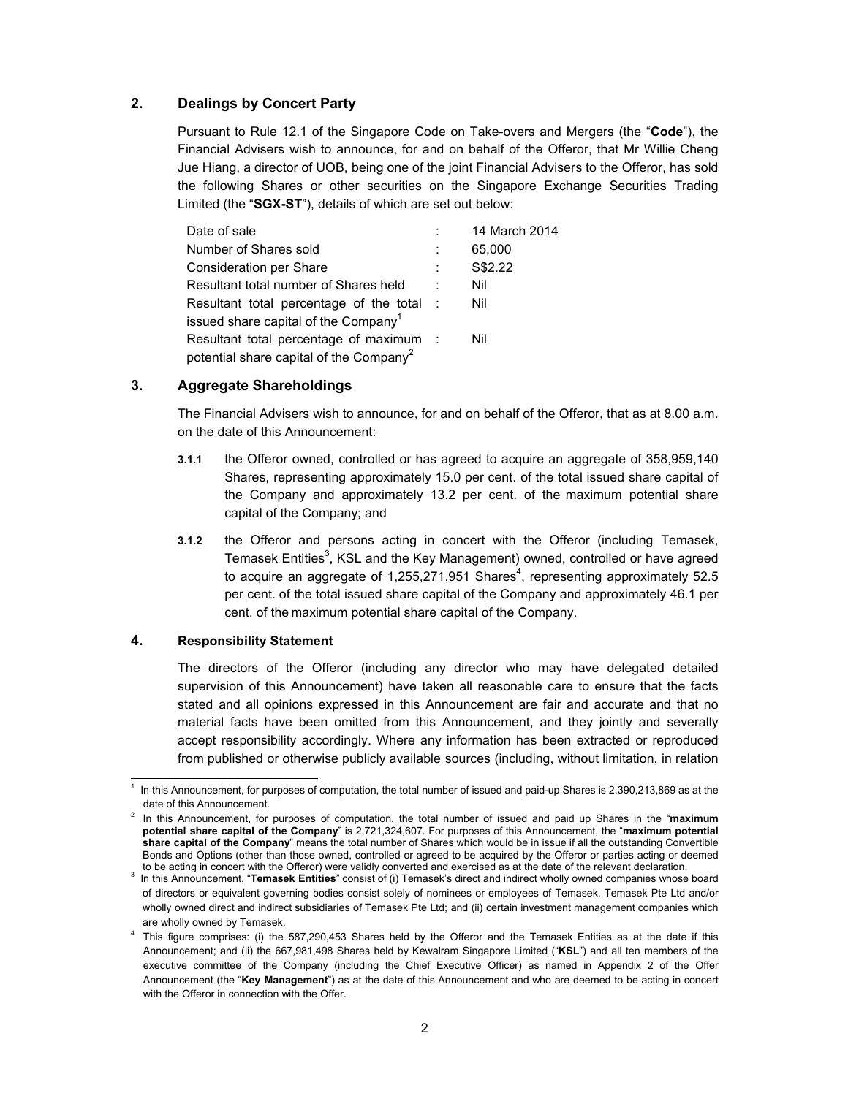# **2. Dealings by Concert Party**

Pursuant to Rule 12.1 of the Singapore Code on Take-overs and Mergers (the "**Code**"), the Financial Advisers wish to announce, for and on behalf of the Offeror, that Mr Willie Cheng Jue Hiang, a director of UOB, being one of the joint Financial Advisers to the Offeror, has sold the following Shares or other securities on the Singapore Exchange Securities Trading Limited (the "**SGX-ST**"), details of which are set out below:

| Date of sale                                        |        | 14 March 2014 |
|-----------------------------------------------------|--------|---------------|
| Number of Shares sold                               |        | 65,000        |
| Consideration per Share                             |        | S\$2.22       |
| Resultant total number of Shares held               |        | Nil           |
| Resultant total percentage of the total             | $\sim$ | Nil           |
| issued share capital of the Company <sup>1</sup>    |        |               |
| Resultant total percentage of maximum :             |        | Nil           |
| potential share capital of the Company <sup>2</sup> |        |               |

# **3. Aggregate Shareholdings**

The Financial Advisers wish to announce, for and on behalf of the Offeror, that as at 8.00 a.m. on the date of this Announcement:

- **3.1.1** the Offeror owned, controlled or has agreed to acquire an aggregate of 358,959,140 Shares, representing approximately 15.0 per cent. of the total issued share capital of the Company and approximately 13.2 per cent. of the maximum potential share capital of the Company; and
- **3.1.2** the Offeror and persons acting in concert with the Offeror (including Temasek, Temasek Entities<sup>3</sup>, KSL and the Key Management) owned, controlled or have agreed to acquire an aggregate of 1,255,271,951 Shares<sup>4</sup>, representing approximately 52.5 per cent. of the total issued share capital of the Company and approximately 46.1 per cent. of the maximum potential share capital of the Company.

### **4. Responsibility Statement**

The directors of the Offeror (including any director who may have delegated detailed supervision of this Announcement) have taken all reasonable care to ensure that the facts stated and all opinions expressed in this Announcement are fair and accurate and that no material facts have been omitted from this Announcement, and they jointly and severally accept responsibility accordingly. Where any information has been extracted or reproduced from published or otherwise publicly available sources (including, without limitation, in relation

 $\overline{a}$ 1 In this Announcement, for purposes of computation, the total number of issued and paid-up Shares is 2,390,213,869 as at the date of this Announcement.

<sup>2</sup> In this Announcement, for purposes of computation, the total number of issued and paid up Shares in the "**maximum potential share capital of the Company**" is 2,721,324,607. For purposes of this Announcement, the "**maximum potential share capital of the Company**" means the total number of Shares which would be in issue if all the outstanding Convertible Bonds and Options (other than those owned, controlled or agreed to be acquired by the Offeror or parties acting or deemed to be acting in concert with the Offeror) were validly converted and exercised as at the date of the relevant declaration.

<sup>3</sup> In this Announcement, "**Temasek Entities**" consist of (i) Temasek's direct and indirect wholly owned companies whose board of directors or equivalent governing bodies consist solely of nominees or employees of Temasek, Temasek Pte Ltd and/or wholly owned direct and indirect subsidiaries of Temasek Pte Ltd; and (ii) certain investment management companies which are wholly owned by Temasek.

<sup>&</sup>lt;sup>4</sup> This figure comprises: (i) the 587,290,453 Shares held by the Offeror and the Temasek Entities as at the date if this Announcement; and (ii) the 667,981,498 Shares held by Kewalram Singapore Limited ("**KSL**") and all ten members of the executive committee of the Company (including the Chief Executive Officer) as named in Appendix 2 of the Offer Announcement (the "**Key Management**") as at the date of this Announcement and who are deemed to be acting in concert with the Offeror in connection with the Offer.